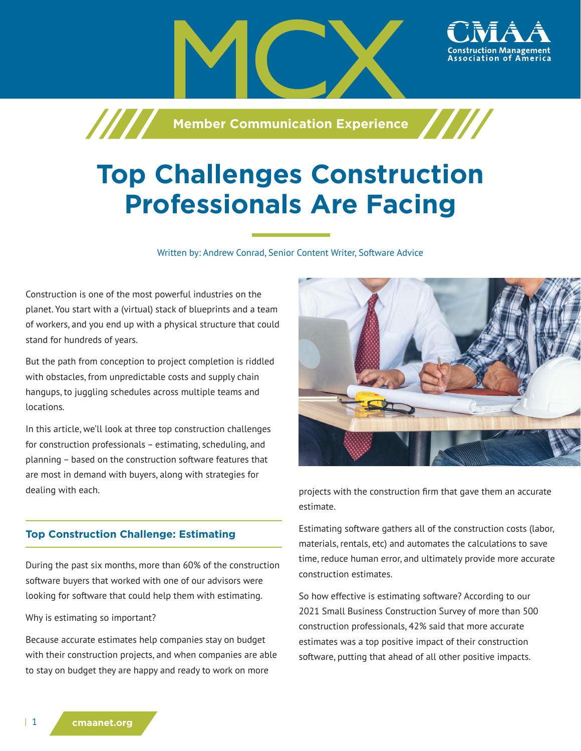**Member Communication Experience**

# **Top Challenges Construction Professionals Are Facing**

Written by: Andrew Conrad, Senior Content Writer, Software Advice

Construction is one of the most powerful industries on the planet. You start with a (virtual) stack of blueprints and a team of workers, and you end up with a physical structure that could stand for hundreds of years.

/////

But the path from conception to project completion is riddled with obstacles, from unpredictable costs and supply chain hangups, to juggling schedules across multiple teams and locations.

In this article, we'll look at three top construction challenges for construction professionals – estimating, scheduling, and planning – based on the construction software features that are most in demand with buyers, along with strategies for dealing with each.

#### **Top Construction Challenge: Estimating**

During the past six months, more than 60% of the construction software buyers that worked with one of our advisors were looking for software that could help them with estimating.

Why is estimating so important?

Because accurate estimates help companies stay on budget with their construction projects, and when companies are able to stay on budget they are happy and ready to work on more



projects with the construction firm that gave them an accurate estimate.

Estimating software gathers all of the construction costs (labor, materials, rentals, etc) and automates the calculations to save time, reduce human error, and ultimately provide more accurate construction estimates.

So how effective is estimating software? According to our 2021 Small Business Construction Survey of more than 500 construction professionals, 42% said that more accurate estimates was a top positive impact of their construction software, putting that ahead of all other positive impacts.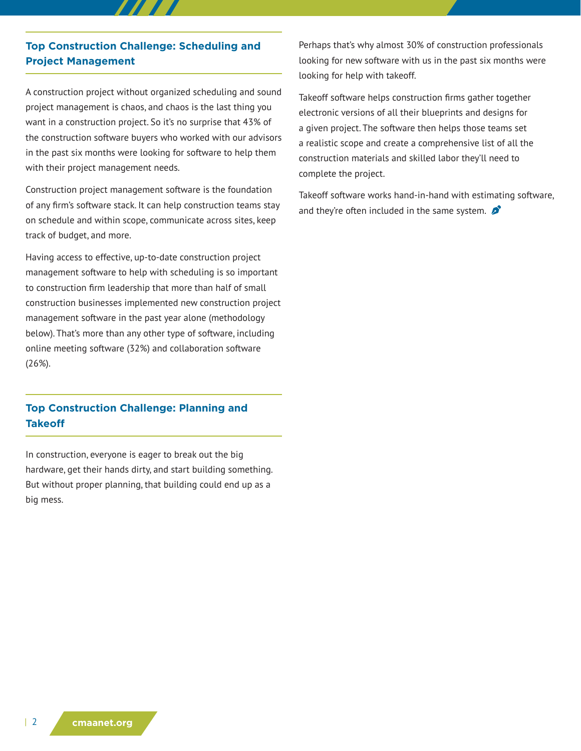### **Top Construction Challenge: Scheduling and Project Management**

A construction project without organized scheduling and sound project management is chaos, and chaos is the last thing you want in a construction project. So it's no surprise that 43% of the construction software buyers who worked with our advisors in the past six months were looking for software to help them with their project management needs.

Construction project management software is the foundation of any firm's software stack. It can help construction teams stay on schedule and within scope, communicate across sites, keep track of budget, and more.

Having access to effective, up-to-date construction project management software to help with scheduling is so important to construction firm leadership that more than half of small construction businesses implemented new construction project management software in the past year alone (methodology below). That's more than any other type of software, including online meeting software (32%) and collaboration software (26%).

# **Top Construction Challenge: Planning and Takeoff**

In construction, everyone is eager to break out the big hardware, get their hands dirty, and start building something. But without proper planning, that building could end up as a big mess.

Perhaps that's why almost 30% of construction professionals looking for new software with us in the past six months were looking for help with takeoff.

Takeoff software helps construction firms gather together electronic versions of all their blueprints and designs for a given project. The software then helps those teams set a realistic scope and create a comprehensive list of all the construction materials and skilled labor they'll need to complete the project.

Takeoff software works hand-in-hand with estimating software, and they're often included in the same system.  $\mathcal{L}$